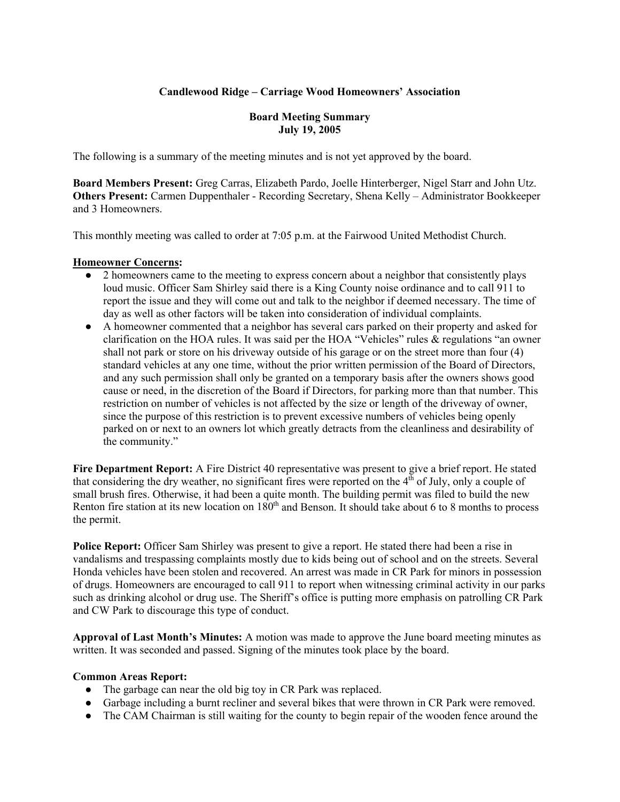## **Candlewood Ridge – Carriage Wood Homeowners' Association**

### **Board Meeting Summary July 19, 2005**

The following is a summary of the meeting minutes and is not yet approved by the board.

**Board Members Present:** Greg Carras, Elizabeth Pardo, Joelle Hinterberger, Nigel Starr and John Utz. **Others Present:** Carmen Duppenthaler - Recording Secretary, Shena Kelly – Administrator Bookkeeper and 3 Homeowners.

This monthly meeting was called to order at 7:05 p.m. at the Fairwood United Methodist Church.

#### **Homeowner Concerns:**

- 2 homeowners came to the meeting to express concern about a neighbor that consistently plays loud music. Officer Sam Shirley said there is a King County noise ordinance and to call 911 to report the issue and they will come out and talk to the neighbor if deemed necessary. The time of day as well as other factors will be taken into consideration of individual complaints.
- A homeowner commented that a neighbor has several cars parked on their property and asked for clarification on the HOA rules. It was said per the HOA "Vehicles" rules & regulations "an owner shall not park or store on his driveway outside of his garage or on the street more than four (4) standard vehicles at any one time, without the prior written permission of the Board of Directors, and any such permission shall only be granted on a temporary basis after the owners shows good cause or need, in the discretion of the Board if Directors, for parking more than that number. This restriction on number of vehicles is not affected by the size or length of the driveway of owner, since the purpose of this restriction is to prevent excessive numbers of vehicles being openly parked on or next to an owners lot which greatly detracts from the cleanliness and desirability of the community."

**Fire Department Report:** A Fire District 40 representative was present to give a brief report. He stated that considering the dry weather, no significant fires were reported on the  $4<sup>th</sup>$  of July, only a couple of small brush fires. Otherwise, it had been a quite month. The building permit was filed to build the new Renton fire station at its new location on  $180<sup>th</sup>$  and Benson. It should take about 6 to 8 months to process the permit.

**Police Report:** Officer Sam Shirley was present to give a report. He stated there had been a rise in vandalisms and trespassing complaints mostly due to kids being out of school and on the streets. Several Honda vehicles have been stolen and recovered. An arrest was made in CR Park for minors in possession of drugs. Homeowners are encouraged to call 911 to report when witnessing criminal activity in our parks such as drinking alcohol or drug use. The Sheriff's office is putting more emphasis on patrolling CR Park and CW Park to discourage this type of conduct.

**Approval of Last Month's Minutes:** A motion was made to approve the June board meeting minutes as written. It was seconded and passed. Signing of the minutes took place by the board.

### **Common Areas Report:**

- The garbage can near the old big toy in CR Park was replaced.
- Garbage including a burnt recliner and several bikes that were thrown in CR Park were removed.
- The CAM Chairman is still waiting for the county to begin repair of the wooden fence around the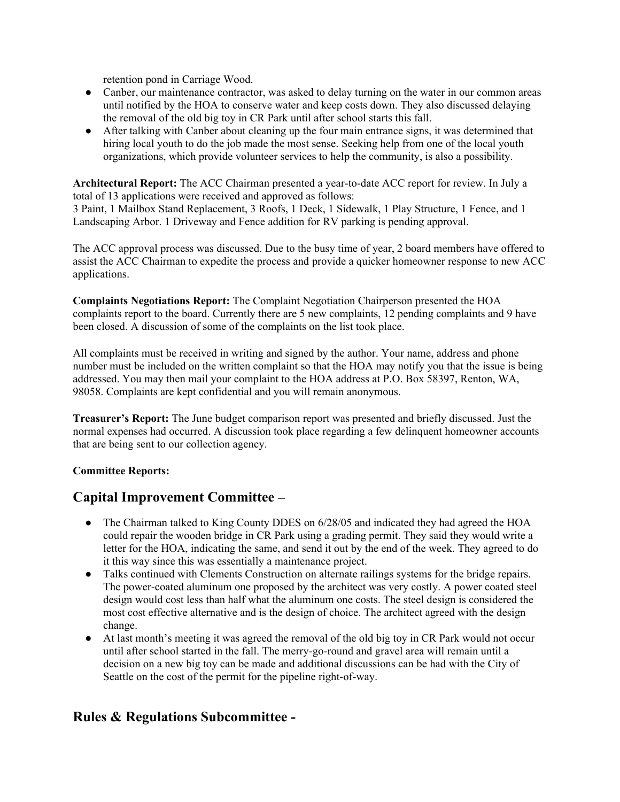retention pond in Carriage Wood.

- Canber, our maintenance contractor, was asked to delay turning on the water in our common areas until notified by the HOA to conserve water and keep costs down. They also discussed delaying the removal of the old big toy in CR Park until after school starts this fall.
- After talking with Canber about cleaning up the four main entrance signs, it was determined that hiring local youth to do the job made the most sense. Seeking help from one of the local youth organizations, which provide volunteer services to help the community, is also a possibility.

**Architectural Report:** The ACC Chairman presented a year-to-date ACC report for review. In July a total of 13 applications were received and approved as follows:

3 Paint, 1 Mailbox Stand Replacement, 3 Roofs, 1 Deck, 1 Sidewalk, 1 Play Structure, 1 Fence, and 1 Landscaping Arbor. 1 Driveway and Fence addition for RV parking is pending approval.

The ACC approval process was discussed. Due to the busy time of year, 2 board members have offered to assist the ACC Chairman to expedite the process and provide a quicker homeowner response to new ACC applications.

**Complaints Negotiations Report:** The Complaint Negotiation Chairperson presented the HOA complaints report to the board. Currently there are 5 new complaints, 12 pending complaints and 9 have been closed. A discussion of some of the complaints on the list took place.

All complaints must be received in writing and signed by the author. Your name, address and phone number must be included on the written complaint so that the HOA may notify you that the issue is being addressed. You may then mail your complaint to the HOA address at P.O. Box 58397, Renton, WA, 98058. Complaints are kept confidential and you will remain anonymous.

**Treasurer's Report:** The June budget comparison report was presented and briefly discussed. Just the normal expenses had occurred. A discussion took place regarding a few delinquent homeowner accounts that are being sent to our collection agency.

## **Committee Reports:**

# **Capital Improvement Committee –**

- The Chairman talked to King County DDES on 6/28/05 and indicated they had agreed the HOA could repair the wooden bridge in CR Park using a grading permit. They said they would write a letter for the HOA, indicating the same, and send it out by the end of the week. They agreed to do it this way since this was essentially a maintenance project.
- Talks continued with Clements Construction on alternate railings systems for the bridge repairs. The power-coated aluminum one proposed by the architect was very costly. A power coated steel design would cost less than half what the aluminum one costs. The steel design is considered the most cost effective alternative and is the design of choice. The architect agreed with the design change.
- At last month's meeting it was agreed the removal of the old big toy in CR Park would not occur until after school started in the fall. The merry-go-round and gravel area will remain until a decision on a new big toy can be made and additional discussions can be had with the City of Seattle on the cost of the permit for the pipeline right-of-way.

## **Rules & Regulations Subcommittee -**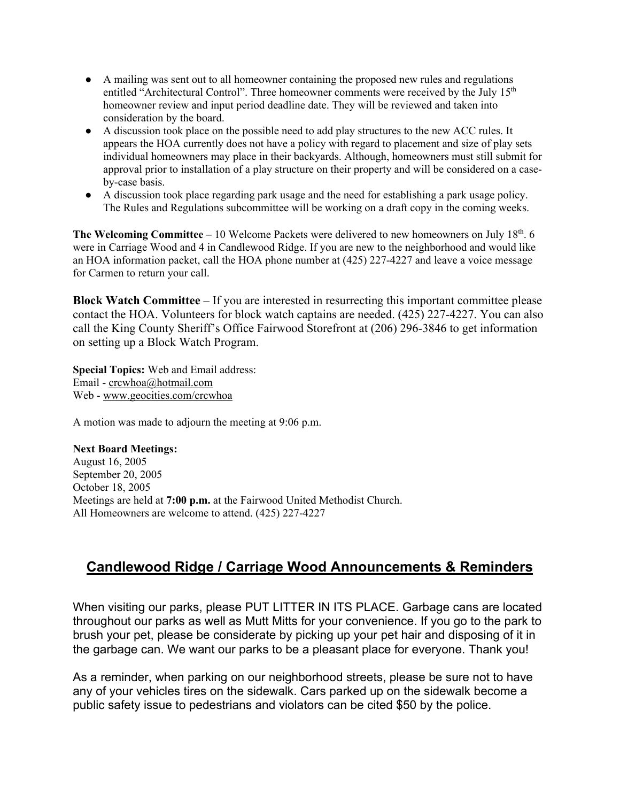- A mailing was sent out to all homeowner containing the proposed new rules and regulations entitled "Architectural Control". Three homeowner comments were received by the July  $15<sup>th</sup>$ homeowner review and input period deadline date. They will be reviewed and taken into consideration by the board.
- A discussion took place on the possible need to add play structures to the new ACC rules. It appears the HOA currently does not have a policy with regard to placement and size of play sets individual homeowners may place in their backyards. Although, homeowners must still submit for approval prior to installation of a play structure on their property and will be considered on a caseby-case basis.
- A discussion took place regarding park usage and the need for establishing a park usage policy. The Rules and Regulations subcommittee will be working on a draft copy in the coming weeks.

**The Welcoming Committee** – 10 Welcome Packets were delivered to new homeowners on July  $18<sup>th</sup>$ . 6 were in Carriage Wood and 4 in Candlewood Ridge. If you are new to the neighborhood and would like an HOA information packet, call the HOA phone number at (425) 227-4227 and leave a voice message for Carmen to return your call.

**Block Watch Committee** – If you are interested in resurrecting this important committee please contact the HOA. Volunteers for block watch captains are needed. (425) 227-4227. You can also call the King County Sheriff's Office Fairwood Storefront at (206) 296-3846 to get information on setting up a Block Watch Program.

**Special Topics:** Web and Email address: Email - crcwhoa@hotmail.com Web - www.geocities.com/crcwhoa

A motion was made to adjourn the meeting at 9:06 p.m.

#### **Next Board Meetings:**

August 16, 2005 September 20, 2005 October 18, 2005 Meetings are held at **7:00 p.m.** at the Fairwood United Methodist Church. All Homeowners are welcome to attend. (425) 227-4227

# **Candlewood Ridge / Carriage Wood Announcements & Reminders**

When visiting our parks, please PUT LITTER IN ITS PLACE. Garbage cans are located throughout our parks as well as Mutt Mitts for your convenience. If you go to the park to brush your pet, please be considerate by picking up your pet hair and disposing of it in the garbage can. We want our parks to be a pleasant place for everyone. Thank you!

As a reminder, when parking on our neighborhood streets, please be sure not to have any of your vehicles tires on the sidewalk. Cars parked up on the sidewalk become a public safety issue to pedestrians and violators can be cited \$50 by the police.